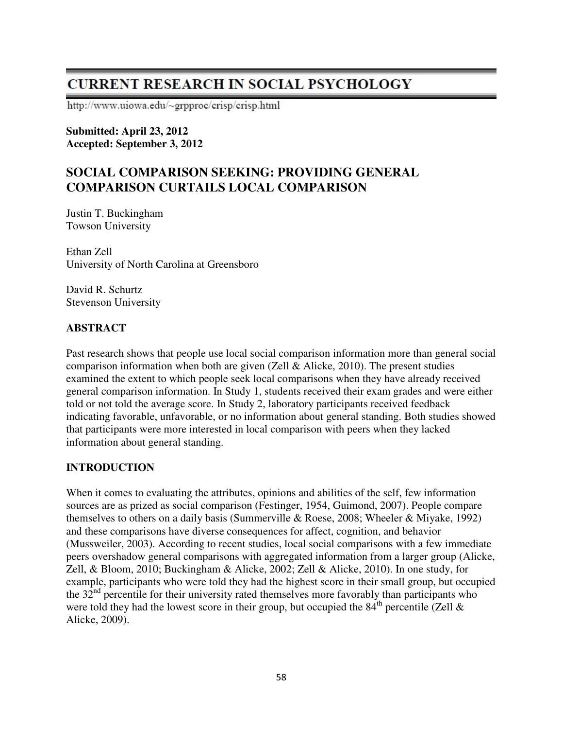# **CURRENT RESEARCH IN SOCIAL PSYCHOLOGY**

http://www.uiowa.edu/~grpproc/crisp/crisp.html

#### **Submitted: April 23, 2012 Accepted: September 3, 2012**

## **SOCIAL COMPARISON SEEKING: PROVIDING GENERAL COMPARISON CURTAILS LOCAL COMPARISON**

Justin T. Buckingham Towson University

Ethan Zell University of North Carolina at Greensboro

David R. Schurtz Stevenson University

## **ABSTRACT**

Past research shows that people use local social comparison information more than general social comparison information when both are given (Zell  $\&$  Alicke, 2010). The present studies examined the extent to which people seek local comparisons when they have already received general comparison information. In Study 1, students received their exam grades and were either told or not told the average score. In Study 2, laboratory participants received feedback indicating favorable, unfavorable, or no information about general standing. Both studies showed that participants were more interested in local comparison with peers when they lacked information about general standing.

#### **INTRODUCTION**

When it comes to evaluating the attributes, opinions and abilities of the self, few information sources are as prized as social comparison (Festinger, 1954, Guimond, 2007). People compare themselves to others on a daily basis (Summerville & Roese, 2008; Wheeler & Miyake, 1992) and these comparisons have diverse consequences for affect, cognition, and behavior (Mussweiler, 2003). According to recent studies, local social comparisons with a few immediate peers overshadow general comparisons with aggregated information from a larger group (Alicke, Zell, & Bloom, 2010; Buckingham & Alicke, 2002; Zell & Alicke, 2010). In one study, for example, participants who were told they had the highest score in their small group, but occupied the  $32<sup>nd</sup>$  percentile for their university rated themselves more favorably than participants who were told they had the lowest score in their group, but occupied the  $84<sup>th</sup>$  percentile (Zell  $\&$ Alicke, 2009).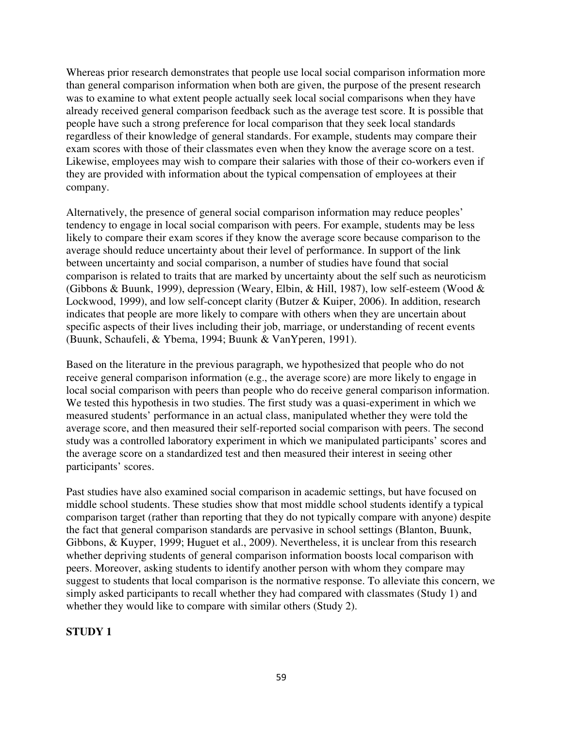Whereas prior research demonstrates that people use local social comparison information more than general comparison information when both are given, the purpose of the present research was to examine to what extent people actually seek local social comparisons when they have already received general comparison feedback such as the average test score. It is possible that people have such a strong preference for local comparison that they seek local standards regardless of their knowledge of general standards. For example, students may compare their exam scores with those of their classmates even when they know the average score on a test. Likewise, employees may wish to compare their salaries with those of their co-workers even if they are provided with information about the typical compensation of employees at their company.

Alternatively, the presence of general social comparison information may reduce peoples' tendency to engage in local social comparison with peers. For example, students may be less likely to compare their exam scores if they know the average score because comparison to the average should reduce uncertainty about their level of performance. In support of the link between uncertainty and social comparison, a number of studies have found that social comparison is related to traits that are marked by uncertainty about the self such as neuroticism (Gibbons & Buunk, 1999), depression (Weary, Elbin, & Hill, 1987), low self-esteem (Wood & Lockwood, 1999), and low self-concept clarity (Butzer & Kuiper, 2006). In addition, research indicates that people are more likely to compare with others when they are uncertain about specific aspects of their lives including their job, marriage, or understanding of recent events (Buunk, Schaufeli, & Ybema, 1994; Buunk & VanYperen, 1991).

Based on the literature in the previous paragraph, we hypothesized that people who do not receive general comparison information (e.g., the average score) are more likely to engage in local social comparison with peers than people who do receive general comparison information. We tested this hypothesis in two studies. The first study was a quasi-experiment in which we measured students' performance in an actual class, manipulated whether they were told the average score, and then measured their self-reported social comparison with peers. The second study was a controlled laboratory experiment in which we manipulated participants' scores and the average score on a standardized test and then measured their interest in seeing other participants' scores.

Past studies have also examined social comparison in academic settings, but have focused on middle school students. These studies show that most middle school students identify a typical comparison target (rather than reporting that they do not typically compare with anyone) despite the fact that general comparison standards are pervasive in school settings (Blanton, Buunk, Gibbons, & Kuyper, 1999; Huguet et al., 2009). Nevertheless, it is unclear from this research whether depriving students of general comparison information boosts local comparison with peers. Moreover, asking students to identify another person with whom they compare may suggest to students that local comparison is the normative response. To alleviate this concern, we simply asked participants to recall whether they had compared with classmates (Study 1) and whether they would like to compare with similar others (Study 2).

#### **STUDY 1**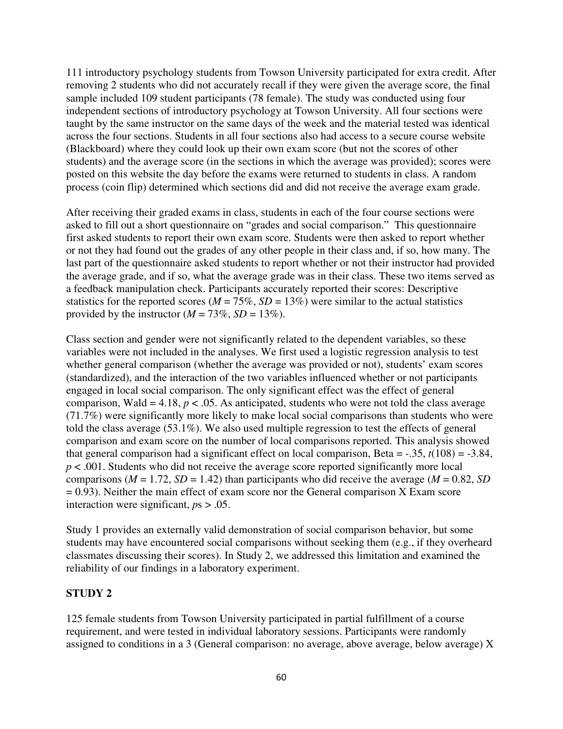111 introductory psychology students from Towson University participated for extra credit. After removing 2 students who did not accurately recall if they were given the average score, the final sample included 109 student participants (78 female). The study was conducted using four independent sections of introductory psychology at Towson University. All four sections were taught by the same instructor on the same days of the week and the material tested was identical across the four sections. Students in all four sections also had access to a secure course website (Blackboard) where they could look up their own exam score (but not the scores of other students) and the average score (in the sections in which the average was provided); scores were posted on this website the day before the exams were returned to students in class. A random process (coin flip) determined which sections did and did not receive the average exam grade.

After receiving their graded exams in class, students in each of the four course sections were asked to fill out a short questionnaire on "grades and social comparison." This questionnaire first asked students to report their own exam score. Students were then asked to report whether or not they had found out the grades of any other people in their class and, if so, how many. The last part of the questionnaire asked students to report whether or not their instructor had provided the average grade, and if so, what the average grade was in their class. These two items served as a feedback manipulation check. Participants accurately reported their scores: Descriptive statistics for the reported scores ( $M = 75\%$ ,  $SD = 13\%$ ) were similar to the actual statistics provided by the instructor  $(M = 73\%, SD = 13\%).$ 

Class section and gender were not significantly related to the dependent variables, so these variables were not included in the analyses. We first used a logistic regression analysis to test whether general comparison (whether the average was provided or not), students' exam scores (standardized), and the interaction of the two variables influenced whether or not participants engaged in local social comparison. The only significant effect was the effect of general comparison, Wald = 4.18,  $p < .05$ . As anticipated, students who were not told the class average (71.7%) were significantly more likely to make local social comparisons than students who were told the class average (53.1%). We also used multiple regression to test the effects of general comparison and exam score on the number of local comparisons reported. This analysis showed that general comparison had a significant effect on local comparison, Beta =  $-.35$ ,  $t(108) = .3.84$ , *p* < .001. Students who did not receive the average score reported significantly more local comparisons ( $M = 1.72$ ,  $SD = 1.42$ ) than participants who did receive the average ( $M = 0.82$ ,  $SD$ )  $= 0.93$ ). Neither the main effect of exam score nor the General comparison X Exam score interaction were significant, *p*s > .05.

Study 1 provides an externally valid demonstration of social comparison behavior, but some students may have encountered social comparisons without seeking them (e.g., if they overheard classmates discussing their scores). In Study 2, we addressed this limitation and examined the reliability of our findings in a laboratory experiment.

#### **STUDY 2**

125 female students from Towson University participated in partial fulfillment of a course requirement, and were tested in individual laboratory sessions. Participants were randomly assigned to conditions in a 3 (General comparison: no average, above average, below average) X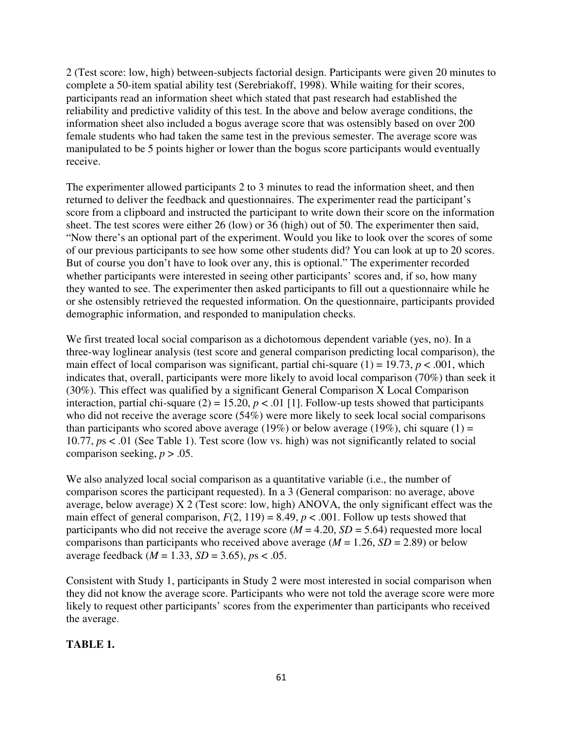2 (Test score: low, high) between-subjects factorial design. Participants were given 20 minutes to complete a 50-item spatial ability test (Serebriakoff, 1998). While waiting for their scores, participants read an information sheet which stated that past research had established the reliability and predictive validity of this test. In the above and below average conditions, the information sheet also included a bogus average score that was ostensibly based on over 200 female students who had taken the same test in the previous semester. The average score was manipulated to be 5 points higher or lower than the bogus score participants would eventually receive.

The experimenter allowed participants 2 to 3 minutes to read the information sheet, and then returned to deliver the feedback and questionnaires. The experimenter read the participant's score from a clipboard and instructed the participant to write down their score on the information sheet. The test scores were either 26 (low) or 36 (high) out of 50. The experimenter then said, "Now there's an optional part of the experiment. Would you like to look over the scores of some of our previous participants to see how some other students did? You can look at up to 20 scores. But of course you don't have to look over any, this is optional." The experimenter recorded whether participants were interested in seeing other participants' scores and, if so, how many they wanted to see. The experimenter then asked participants to fill out a questionnaire while he or she ostensibly retrieved the requested information. On the questionnaire, participants provided demographic information, and responded to manipulation checks.

We first treated local social comparison as a dichotomous dependent variable (yes, no). In a three-way loglinear analysis (test score and general comparison predicting local comparison), the main effect of local comparison was significant, partial chi-square  $(1) = 19.73$ ,  $p < .001$ , which indicates that, overall, participants were more likely to avoid local comparison (70%) than seek it (30%). This effect was qualified by a significant General Comparison X Local Comparison interaction, partial chi-square (2) = 15.20,  $p < .01$  [1]. Follow-up tests showed that participants who did not receive the average score (54%) were more likely to seek local social comparisons than participants who scored above average (19%) or below average (19%), chi square (1) = 10.77, *p*s < .01 (See Table 1). Test score (low vs. high) was not significantly related to social comparison seeking,  $p > .05$ .

We also analyzed local social comparison as a quantitative variable (i.e., the number of comparison scores the participant requested). In a 3 (General comparison: no average, above average, below average) X 2 (Test score: low, high) ANOVA, the only significant effect was the main effect of general comparison,  $F(2, 119) = 8.49$ ,  $p < .001$ . Follow up tests showed that participants who did not receive the average score ( $\dot{M}$  = 4.20, *SD* = 5.64) requested more local comparisons than participants who received above average ( $M = 1.26$ ,  $SD = 2.89$ ) or below average feedback (*M* = 1.33, *SD* = 3.65), *p*s < .05.

Consistent with Study 1, participants in Study 2 were most interested in social comparison when they did not know the average score. Participants who were not told the average score were more likely to request other participants' scores from the experimenter than participants who received the average.

#### **TABLE 1.**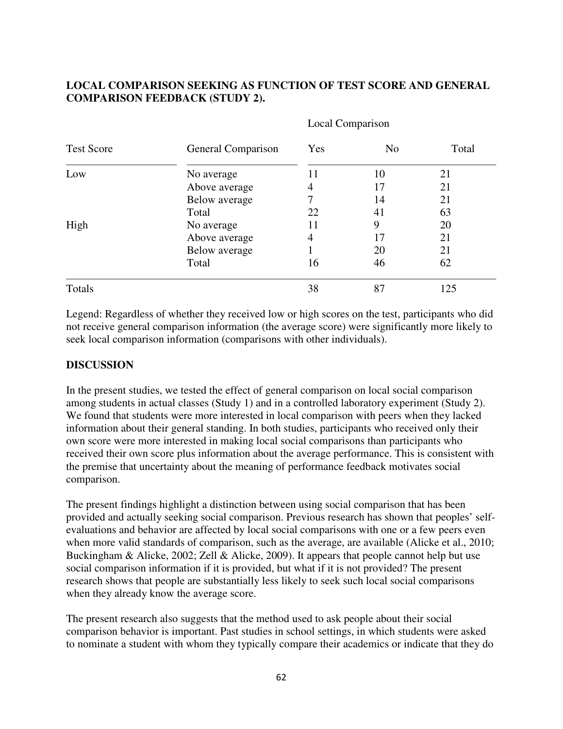### **LOCAL COMPARISON SEEKING AS FUNCTION OF TEST SCORE AND GENERAL COMPARISON FEEDBACK (STUDY 2).**

| <b>Test Score</b><br>Low<br>High |                    | Local Comparison |                      |             |
|----------------------------------|--------------------|------------------|----------------------|-------------|
|                                  | General Comparison | Yes              | N <sub>o</sub><br>10 | Total<br>21 |
|                                  | No average         | 11               |                      |             |
|                                  | Above average      | 4                | 17                   | 21          |
|                                  | Below average      | 7                | 14                   | 21          |
|                                  | Total              | 22               | 41                   | 63          |
|                                  | No average         | 11               | 9                    | 20          |
|                                  | Above average      | 4                | 17                   | 21          |
|                                  | Below average      | 1                | 20                   | 21          |
|                                  | Total              | 16               | 46                   | 62          |
| Totals                           |                    | 38               | 87                   | 125         |

Legend: Regardless of whether they received low or high scores on the test, participants who did not receive general comparison information (the average score) were significantly more likely to seek local comparison information (comparisons with other individuals).

#### **DISCUSSION**

In the present studies, we tested the effect of general comparison on local social comparison among students in actual classes (Study 1) and in a controlled laboratory experiment (Study 2). We found that students were more interested in local comparison with peers when they lacked information about their general standing. In both studies, participants who received only their own score were more interested in making local social comparisons than participants who received their own score plus information about the average performance. This is consistent with the premise that uncertainty about the meaning of performance feedback motivates social comparison.

The present findings highlight a distinction between using social comparison that has been provided and actually seeking social comparison. Previous research has shown that peoples' selfevaluations and behavior are affected by local social comparisons with one or a few peers even when more valid standards of comparison, such as the average, are available (Alicke et al., 2010; Buckingham & Alicke, 2002; Zell & Alicke, 2009). It appears that people cannot help but use social comparison information if it is provided, but what if it is not provided? The present research shows that people are substantially less likely to seek such local social comparisons when they already know the average score.

The present research also suggests that the method used to ask people about their social comparison behavior is important. Past studies in school settings, in which students were asked to nominate a student with whom they typically compare their academics or indicate that they do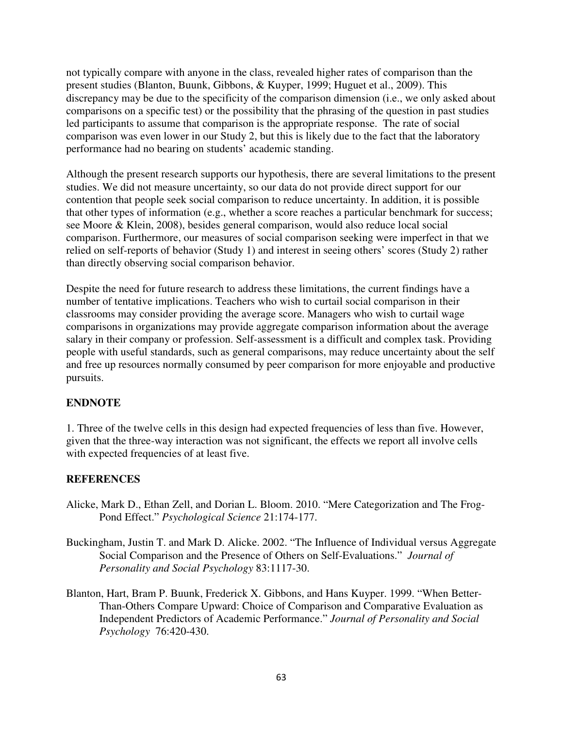not typically compare with anyone in the class, revealed higher rates of comparison than the present studies (Blanton, Buunk, Gibbons, & Kuyper, 1999; Huguet et al., 2009). This discrepancy may be due to the specificity of the comparison dimension (i.e., we only asked about comparisons on a specific test) or the possibility that the phrasing of the question in past studies led participants to assume that comparison is the appropriate response. The rate of social comparison was even lower in our Study 2, but this is likely due to the fact that the laboratory performance had no bearing on students' academic standing.

Although the present research supports our hypothesis, there are several limitations to the present studies. We did not measure uncertainty, so our data do not provide direct support for our contention that people seek social comparison to reduce uncertainty. In addition, it is possible that other types of information (e.g., whether a score reaches a particular benchmark for success; see Moore & Klein, 2008), besides general comparison, would also reduce local social comparison. Furthermore, our measures of social comparison seeking were imperfect in that we relied on self-reports of behavior (Study 1) and interest in seeing others' scores (Study 2) rather than directly observing social comparison behavior.

Despite the need for future research to address these limitations, the current findings have a number of tentative implications. Teachers who wish to curtail social comparison in their classrooms may consider providing the average score. Managers who wish to curtail wage comparisons in organizations may provide aggregate comparison information about the average salary in their company or profession. Self-assessment is a difficult and complex task. Providing people with useful standards, such as general comparisons, may reduce uncertainty about the self and free up resources normally consumed by peer comparison for more enjoyable and productive pursuits.

#### **ENDNOTE**

1. Three of the twelve cells in this design had expected frequencies of less than five. However, given that the three-way interaction was not significant, the effects we report all involve cells with expected frequencies of at least five.

#### **REFERENCES**

- Alicke, Mark D., Ethan Zell, and Dorian L. Bloom. 2010. "Mere Categorization and The Frog-Pond Effect." *Psychological Science* 21:174-177.
- Buckingham, Justin T. and Mark D. Alicke. 2002. "The Influence of Individual versus Aggregate Social Comparison and the Presence of Others on Self-Evaluations." *Journal of Personality and Social Psychology* 83:1117-30.
- Blanton, Hart, Bram P. Buunk, Frederick X. Gibbons, and Hans Kuyper. 1999. "When Better-Than-Others Compare Upward: Choice of Comparison and Comparative Evaluation as Independent Predictors of Academic Performance." *Journal of Personality and Social Psychology* 76:420-430.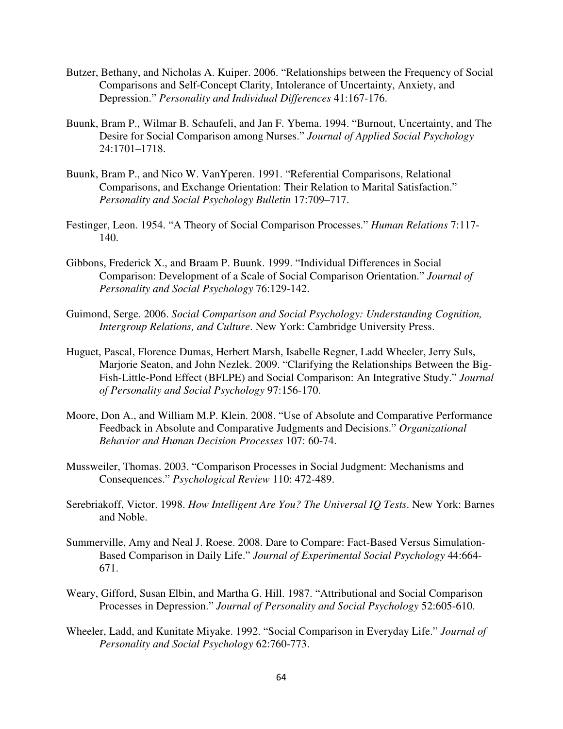- Butzer, Bethany, and Nicholas A. Kuiper. 2006. "Relationships between the Frequency of Social Comparisons and Self-Concept Clarity, Intolerance of Uncertainty, Anxiety, and Depression." *Personality and Individual Differences* 41:167-176.
- Buunk, Bram P., Wilmar B. Schaufeli, and Jan F. Ybema. 1994. "Burnout, Uncertainty, and The Desire for Social Comparison among Nurses." *Journal of Applied Social Psychology* 24:1701–1718.
- Buunk, Bram P., and Nico W. VanYperen. 1991. "Referential Comparisons, Relational Comparisons, and Exchange Orientation: Their Relation to Marital Satisfaction." *Personality and Social Psychology Bulletin* 17:709–717.
- Festinger, Leon. 1954. "A Theory of Social Comparison Processes." *Human Relations* 7:117- 140.
- Gibbons, Frederick X., and Braam P. Buunk. 1999. "Individual Differences in Social Comparison: Development of a Scale of Social Comparison Orientation." *Journal of Personality and Social Psychology* 76:129-142.
- Guimond, Serge. 2006. *Social Comparison and Social Psychology: Understanding Cognition, Intergroup Relations, and Culture*. New York: Cambridge University Press.
- Huguet, Pascal, Florence Dumas, Herbert Marsh, Isabelle Regner, Ladd Wheeler, Jerry Suls, Marjorie Seaton, and John Nezlek. 2009. "Clarifying the Relationships Between the Big-Fish-Little-Pond Effect (BFLPE) and Social Comparison: An Integrative Study." *Journal of Personality and Social Psychology* 97:156-170.
- Moore, Don A., and William M.P. Klein. 2008. "Use of Absolute and Comparative Performance Feedback in Absolute and Comparative Judgments and Decisions." *Organizational Behavior and Human Decision Processes* 107: 60-74.
- Mussweiler, Thomas. 2003. "Comparison Processes in Social Judgment: Mechanisms and Consequences." *Psychological Review* 110: 472-489.
- Serebriakoff, Victor. 1998. *How Intelligent Are You? The Universal IQ Tests*. New York: Barnes and Noble.
- Summerville, Amy and Neal J. Roese. 2008. Dare to Compare: Fact-Based Versus Simulation-Based Comparison in Daily Life." *Journal of Experimental Social Psychology* 44:664- 671.
- Weary, Gifford, Susan Elbin, and Martha G. Hill. 1987. "Attributional and Social Comparison Processes in Depression." *Journal of Personality and Social Psychology* 52:605-610.
- Wheeler, Ladd, and Kunitate Miyake. 1992. "Social Comparison in Everyday Life." *Journal of Personality and Social Psychology* 62:760-773.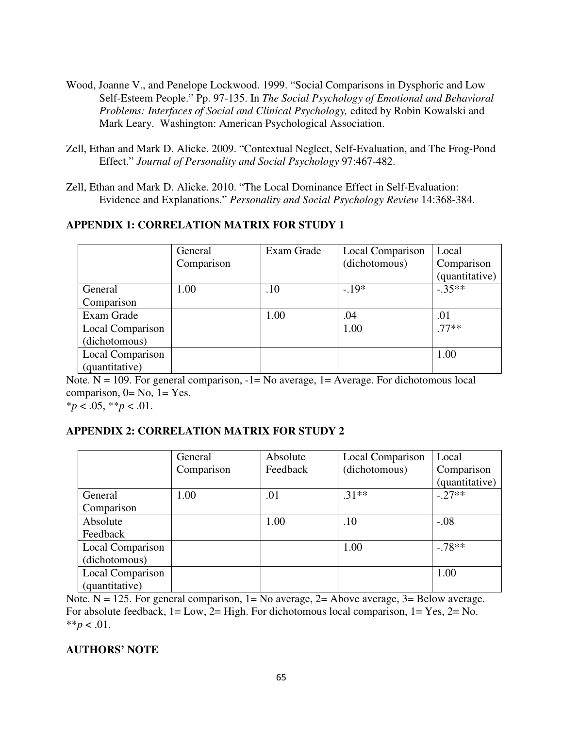- Wood, Joanne V., and Penelope Lockwood. 1999. "Social Comparisons in Dysphoric and Low Self-Esteem People." Pp. 97-135. In *The Social Psychology of Emotional and Behavioral Problems: Interfaces of Social and Clinical Psychology,* edited by Robin Kowalski and Mark Leary. Washington: American Psychological Association.
- Zell, Ethan and Mark D. Alicke. 2009. "Contextual Neglect, Self-Evaluation, and The Frog-Pond Effect." *Journal of Personality and Social Psychology* 97:467-482.
- Zell, Ethan and Mark D. Alicke. 2010. "The Local Dominance Effect in Self-Evaluation: Evidence and Explanations." *Personality and Social Psychology Review* 14:368-384.

## **APPENDIX 1: CORRELATION MATRIX FOR STUDY 1**

|                  | General    | Exam Grade | Local Comparison | Local          |
|------------------|------------|------------|------------------|----------------|
|                  | Comparison |            | (dichotomous)    | Comparison     |
|                  |            |            |                  | (quantitative) |
| General          | 1.00       | .10        | $-19*$           | $-35**$        |
| Comparison       |            |            |                  |                |
| Exam Grade       |            | 1.00       | .04              | .01            |
| Local Comparison |            |            | 1.00             | $.77**$        |
| (dichotomous)    |            |            |                  |                |
| Local Comparison |            |            |                  | 1.00           |
| (quantitative)   |            |            |                  |                |

Note.  $N = 109$ . For general comparison,  $-1 = No$  average,  $1 = Average$ . For dichotomous local comparison,  $0=$  No,  $1=$  Yes. \**p* < .05, \*\**p* < .01.

#### **APPENDIX 2: CORRELATION MATRIX FOR STUDY 2**

|                  | General    | Absolute | Local Comparison | Local          |
|------------------|------------|----------|------------------|----------------|
|                  | Comparison | Feedback | (dichotomous)    | Comparison     |
|                  |            |          |                  | (quantitative) |
| General          | 1.00       | .01      | $.31**$          | $-27**$        |
| Comparison       |            |          |                  |                |
| Absolute         |            | 1.00     | .10              | $-.08$         |
| Feedback         |            |          |                  |                |
| Local Comparison |            |          | 1.00             | $-78**$        |
| (dichotomous)    |            |          |                  |                |
| Local Comparison |            |          |                  | 1.00           |
| (quantitative)   |            |          |                  |                |

Note.  $N = 125$ . For general comparison,  $1 = No$  average,  $2 = Above$  average,  $3 = Below$  average. For absolute feedback, 1= Low, 2= High. For dichotomous local comparison, 1= Yes, 2= No. \*\**p* < .01.

#### **AUTHORS' NOTE**